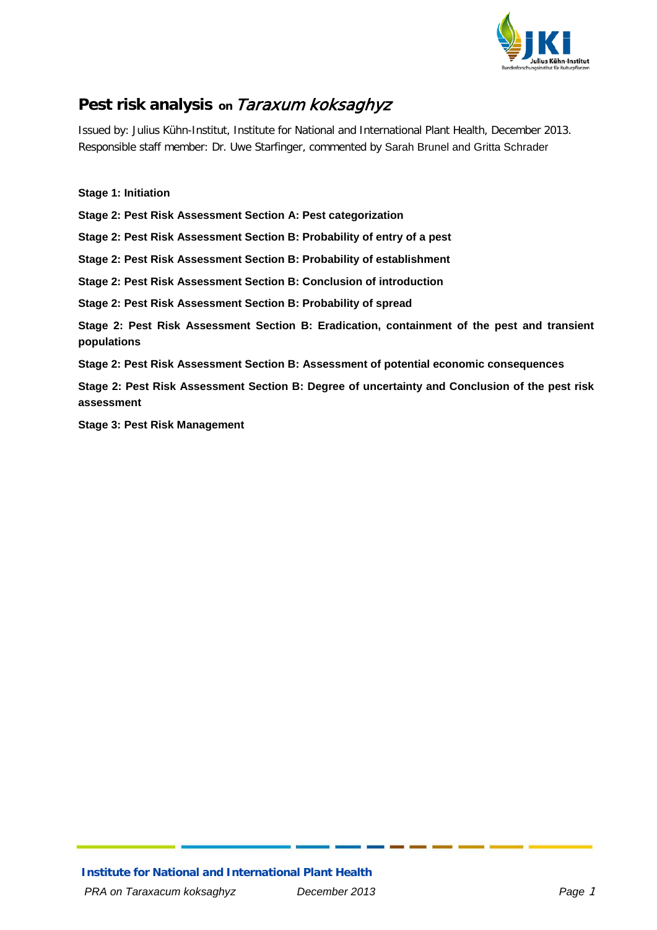

# **Pest risk analysis on** Taraxum koksaghyz

Issued by: Julius Kühn-Institut, Institute for National and International Plant Health, December 2013. Responsible staff member: Dr. Uwe Starfinger, commented by Sarah Brunel and Gritta Schrader

**[Stage 1: Initiation](#page-1-0) [Stage 2: Pest Risk Assessment Section A: Pest categorization](#page-3-0) [Stage 2: Pest Risk Assessment Section B: Probability of entry of a pest](#page-5-0) [Stage 2: Pest Risk Assessment Section B: Probability of establishment](#page-7-0) [Stage 2: Pest Risk Assessment Section B: Conclusion of introduction](#page-12-0) [Stage 2: Pest Risk Assessment Section B: Probability of spread](#page-13-0) [Stage 2: Pest Risk Assessment Section B: Eradication, containment of the pest and transient](#page-14-0)  [populations](#page-14-0) [Stage 2: Pest Risk Assessment Section B: Assessment of potential economic consequences](#page-15-0) [Stage 2: Pest Risk Assessment Section B: Degree of uncertainty and Conclusion of the pest risk](#page-21-0)  [assessment](#page-21-0)**

**[Stage 3: Pest Risk Management](#page-22-0)**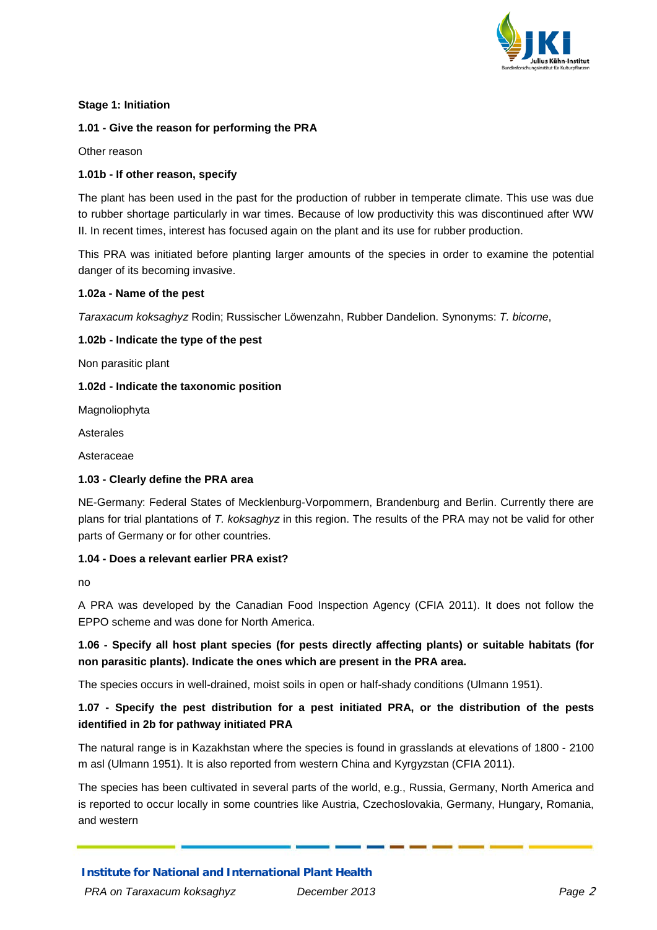

#### <span id="page-1-0"></span>**Stage 1: Initiation**

#### **1.01 - Give the reason for performing the PRA**

Other reason

#### **1.01b - If other reason, specify**

The plant has been used in the past for the production of rubber in temperate climate. This use was due to rubber shortage particularly in war times. Because of low productivity this was discontinued after WW II. In recent times, interest has focused again on the plant and its use for rubber production.

This PRA was initiated before planting larger amounts of the species in order to examine the potential danger of its becoming invasive.

#### **1.02a - Name of the pest**

*Taraxacum koksaghyz* Rodin; Russischer Löwenzahn, Rubber Dandelion. Synonyms: *T. bicorne*,

#### **1.02b - Indicate the type of the pest**

Non parasitic plant

#### **1.02d - Indicate the taxonomic position**

Magnoliophyta

Asterales

Asteraceae

#### **1.03 - Clearly define the PRA area**

NE-Germany: Federal States of Mecklenburg-Vorpommern, Brandenburg and Berlin. Currently there are plans for trial plantations of *T. koksaghyz* in this region. The results of the PRA may not be valid for other parts of Germany or for other countries.

#### **1.04 - Does a relevant earlier PRA exist?**

no

A PRA was developed by the Canadian Food Inspection Agency (CFIA 2011). It does not follow the EPPO scheme and was done for North America.

# **1.06 - Specify all host plant species (for pests directly affecting plants) or suitable habitats (for non parasitic plants). Indicate the ones which are present in the PRA area.**

The species occurs in well-drained, moist soils in open or half-shady conditions (Ulmann 1951).

# **1.07 - Specify the pest distribution for a pest initiated PRA, or the distribution of the pests identified in 2b for pathway initiated PRA**

The natural range is in Kazakhstan where the species is found in grasslands at elevations of 1800 - 2100 m asl (Ulmann 1951). It is also reported from western China and Kyrgyzstan (CFIA 2011).

The species has been cultivated in several parts of the world, e.g., Russia, Germany, North America and is reported to occur locally in some countries like Austria, Czechoslovakia, Germany, Hungary, Romania, and western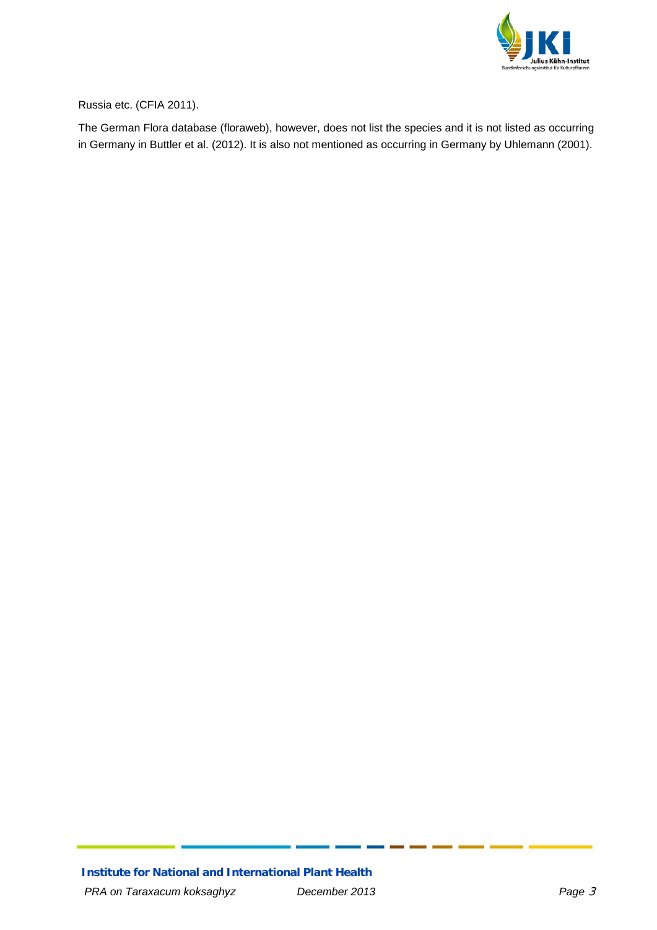

Russia etc. (CFIA 2011).

The German Flora database (floraweb), however, does not list the species and it is not listed as occurring in Germany in Buttler et al. (2012). It is also not mentioned as occurring in Germany by Uhlemann (2001).

**Institute for National and International Plant Health** *PRA on Taraxacum koksaghyz December 2013 Page* 3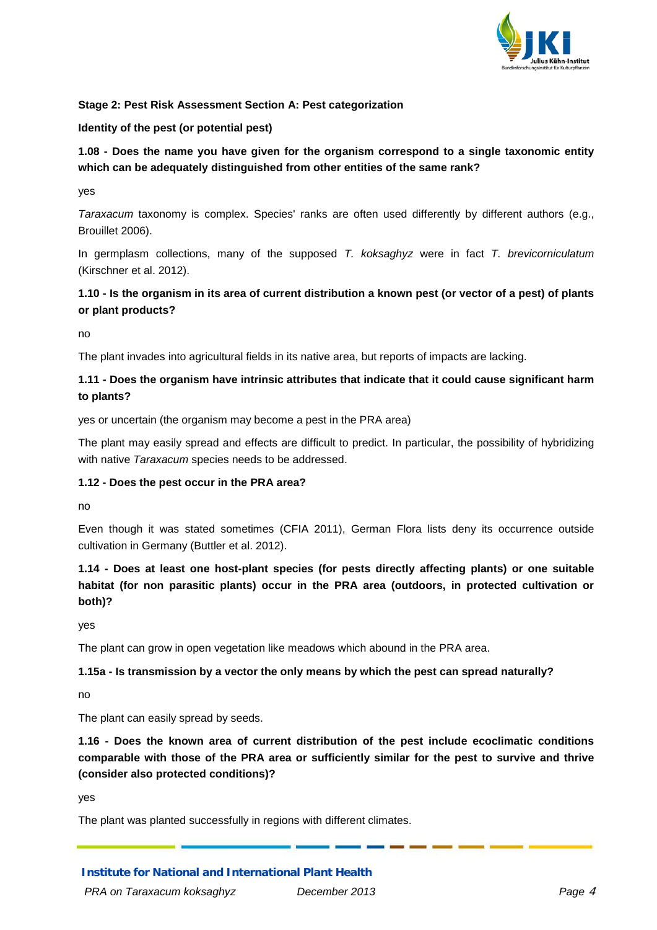

#### <span id="page-3-0"></span>**Stage 2: Pest Risk Assessment Section A: Pest categorization**

#### **Identity of the pest (or potential pest)**

# **1.08 - Does the name you have given for the organism correspond to a single taxonomic entity which can be adequately distinguished from other entities of the same rank?**

yes

*Taraxacum* taxonomy is complex. Species' ranks are often used differently by different authors (e.g., Brouillet 2006).

In germplasm collections, many of the supposed *T. koksaghyz* were in fact *T. brevicorniculatum* (Kirschner et al. 2012).

## **1.10 - Is the organism in its area of current distribution a known pest (or vector of a pest) of plants or plant products?**

no

The plant invades into agricultural fields in its native area, but reports of impacts are lacking.

# **1.11 - Does the organism have intrinsic attributes that indicate that it could cause significant harm to plants?**

yes or uncertain (the organism may become a pest in the PRA area)

The plant may easily spread and effects are difficult to predict. In particular, the possibility of hybridizing with native *Taraxacum* species needs to be addressed.

#### **1.12 - Does the pest occur in the PRA area?**

no

Even though it was stated sometimes (CFIA 2011), German Flora lists deny its occurrence outside cultivation in Germany (Buttler et al. 2012).

# **1.14 - Does at least one host-plant species (for pests directly affecting plants) or one suitable habitat (for non parasitic plants) occur in the PRA area (outdoors, in protected cultivation or both)?**

yes

The plant can grow in open vegetation like meadows which abound in the PRA area.

#### **1.15a - Is transmission by a vector the only means by which the pest can spread naturally?**

no

The plant can easily spread by seeds.

**1.16 - Does the known area of current distribution of the pest include ecoclimatic conditions comparable with those of the PRA area or sufficiently similar for the pest to survive and thrive (consider also protected conditions)?**

yes

The plant was planted successfully in regions with different climates.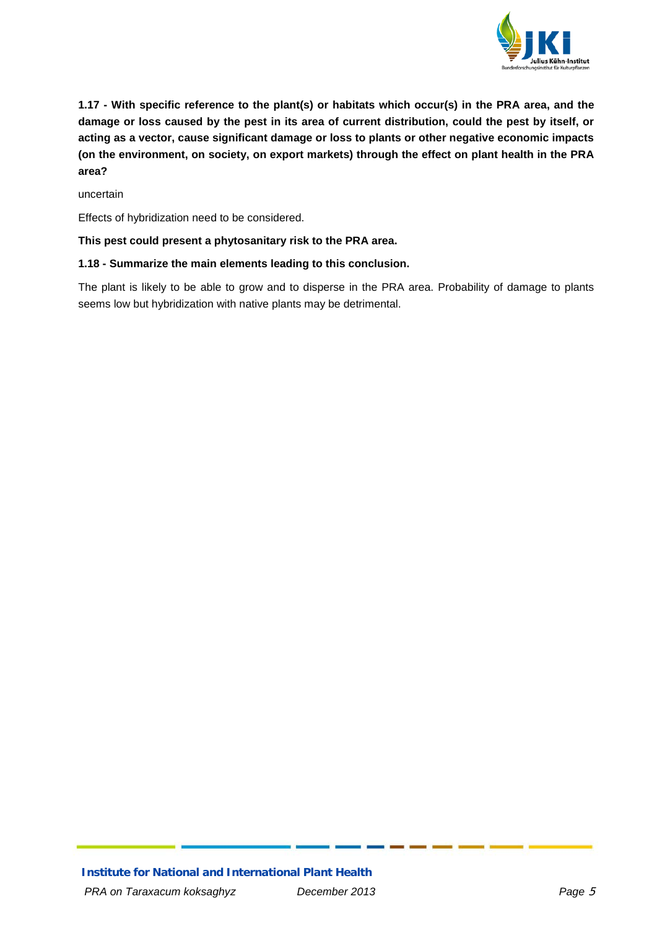

**1.17 - With specific reference to the plant(s) or habitats which occur(s) in the PRA area, and the damage or loss caused by the pest in its area of current distribution, could the pest by itself, or acting as a vector, cause significant damage or loss to plants or other negative economic impacts (on the environment, on society, on export markets) through the effect on plant health in the PRA area?**

uncertain

Effects of hybridization need to be considered.

#### **This pest could present a phytosanitary risk to the PRA area.**

#### **1.18 - Summarize the main elements leading to this conclusion.**

The plant is likely to be able to grow and to disperse in the PRA area. Probability of damage to plants seems low but hybridization with native plants may be detrimental.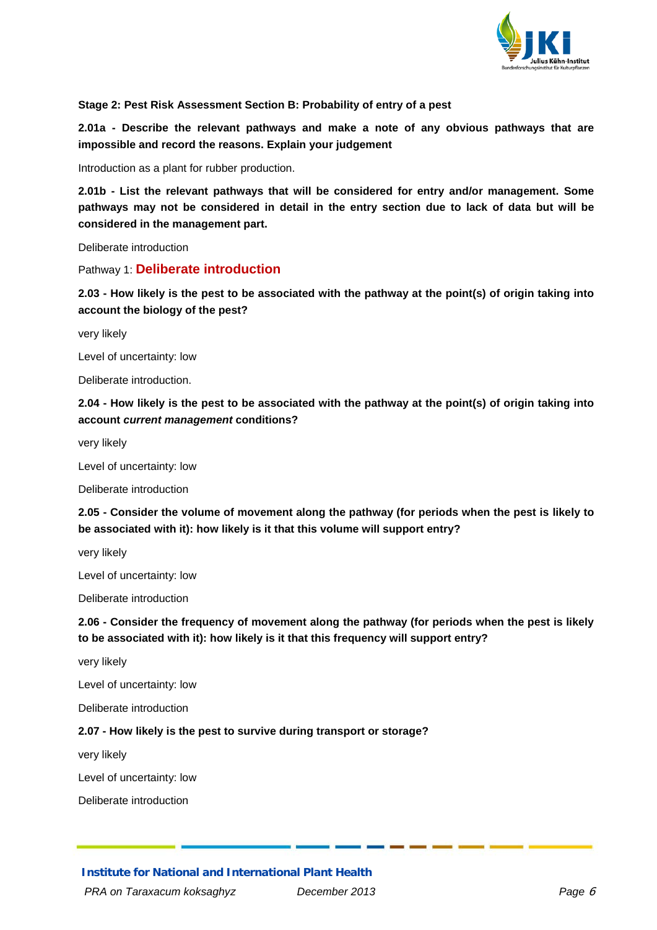

<span id="page-5-0"></span>**Stage 2: Pest Risk Assessment Section B: Probability of entry of a pest**

**2.01a - Describe the relevant pathways and make a note of any obvious pathways that are impossible and record the reasons. Explain your judgement** 

Introduction as a plant for rubber production.

**2.01b - List the relevant pathways that will be considered for entry and/or management. Some pathways may not be considered in detail in the entry section due to lack of data but will be considered in the management part.**

Deliberate introduction

Pathway 1: **Deliberate introduction**

**2.03 - How likely is the pest to be associated with the pathway at the point(s) of origin taking into account the biology of the pest?**

very likely

Level of uncertainty: low

Deliberate introduction.

**2.04 - How likely is the pest to be associated with the pathway at the point(s) of origin taking into account** *current management* **conditions?**

very likely

Level of uncertainty: low

Deliberate introduction

**2.05 - Consider the volume of movement along the pathway (for periods when the pest is likely to be associated with it): how likely is it that this volume will support entry?**

very likely

Level of uncertainty: low

Deliberate introduction

**2.06 - Consider the frequency of movement along the pathway (for periods when the pest is likely to be associated with it): how likely is it that this frequency will support entry?**

very likely

Level of uncertainty: low

Deliberate introduction

#### **2.07 - How likely is the pest to survive during transport or storage?**

very likely

Level of uncertainty: low

Deliberate introduction

**Institute for National and International Plant Health**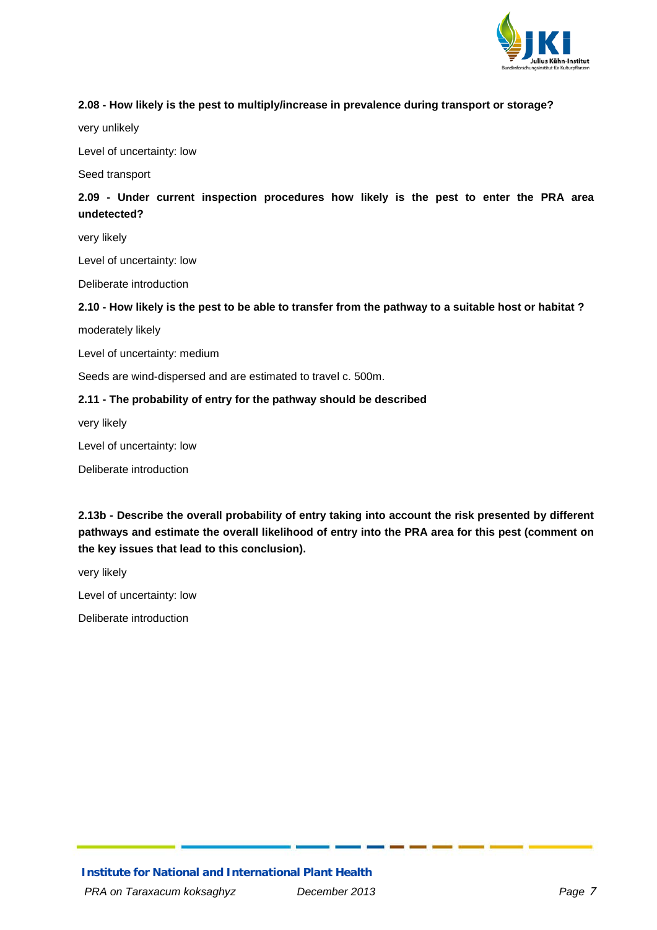

#### **2.08 - How likely is the pest to multiply/increase in prevalence during transport or storage?**

very unlikely

Level of uncertainty: low

Seed transport

# **2.09 - Under current inspection procedures how likely is the pest to enter the PRA area undetected?**

very likely

Level of uncertainty: low

Deliberate introduction

#### **2.10 - How likely is the pest to be able to transfer from the pathway to a suitable host or habitat ?**

moderately likely

Level of uncertainty: medium

Seeds are wind-dispersed and are estimated to travel c. 500m.

#### **2.11 - The probability of entry for the pathway should be described**

very likely

Level of uncertainty: low

Deliberate introduction

**2.13b - Describe the overall probability of entry taking into account the risk presented by different pathways and estimate the overall likelihood of entry into the PRA area for this pest (comment on the key issues that lead to this conclusion).**

very likely

Level of uncertainty: low

Deliberate introduction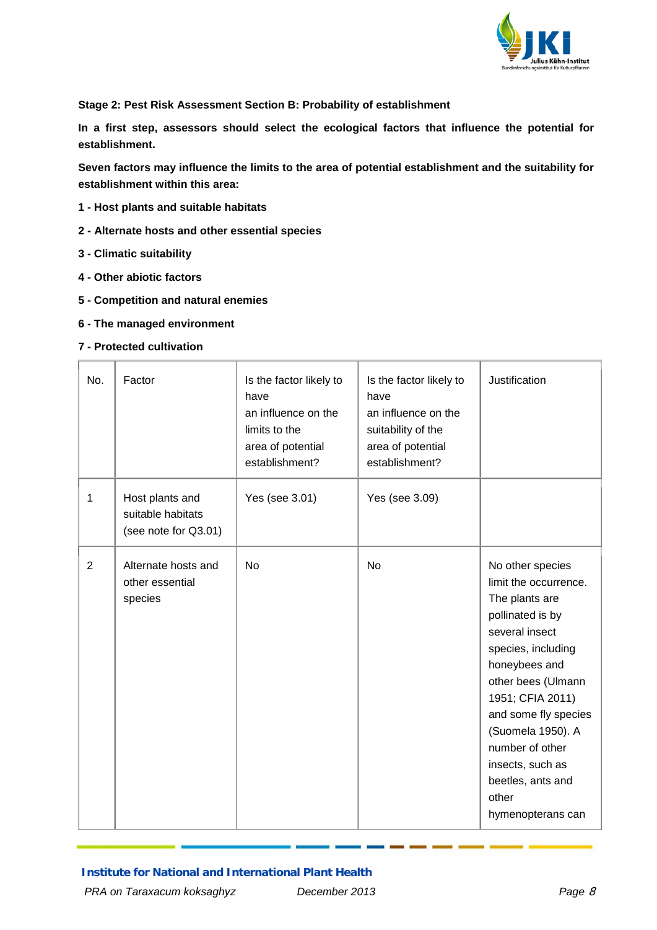

<span id="page-7-0"></span>**Stage 2: Pest Risk Assessment Section B: Probability of establishment**

**In a first step, assessors should select the ecological factors that influence the potential for establishment.**

**Seven factors may influence the limits to the area of potential establishment and the suitability for establishment within this area:** 

- **1 - Host plants and suitable habitats**
- **2 - Alternate hosts and other essential species**
- **3 - Climatic suitability**
- **4 - Other abiotic factors**
- **5 - Competition and natural enemies**
- **6 - The managed environment**
- **7 - Protected cultivation**

| No.            | Factor                                                       | Is the factor likely to<br>have<br>an influence on the<br>limits to the<br>area of potential<br>establishment? | Is the factor likely to<br>have<br>an influence on the<br>suitability of the<br>area of potential<br>establishment? | Justification                                                                                                                                                                                                                                                                                                             |
|----------------|--------------------------------------------------------------|----------------------------------------------------------------------------------------------------------------|---------------------------------------------------------------------------------------------------------------------|---------------------------------------------------------------------------------------------------------------------------------------------------------------------------------------------------------------------------------------------------------------------------------------------------------------------------|
| 1              | Host plants and<br>suitable habitats<br>(see note for Q3.01) | Yes (see 3.01)                                                                                                 | Yes (see 3.09)                                                                                                      |                                                                                                                                                                                                                                                                                                                           |
| $\overline{2}$ | Alternate hosts and<br>other essential<br>species            | <b>No</b>                                                                                                      | <b>No</b>                                                                                                           | No other species<br>limit the occurrence.<br>The plants are<br>pollinated is by<br>several insect<br>species, including<br>honeybees and<br>other bees (Ulmann<br>1951; CFIA 2011)<br>and some fly species<br>(Suomela 1950). A<br>number of other<br>insects, such as<br>beetles, ants and<br>other<br>hymenopterans can |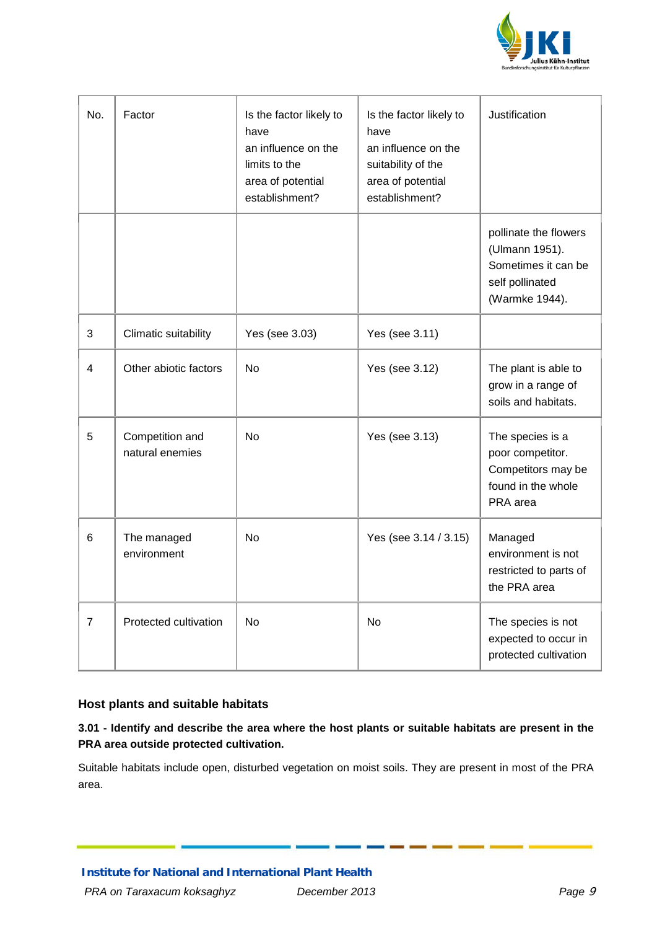

| No.            | Factor                             | Is the factor likely to<br>have<br>an influence on the<br>limits to the<br>area of potential<br>establishment? | Is the factor likely to<br>have<br>an influence on the<br>suitability of the<br>area of potential<br>establishment? | Justification                                                                                       |
|----------------|------------------------------------|----------------------------------------------------------------------------------------------------------------|---------------------------------------------------------------------------------------------------------------------|-----------------------------------------------------------------------------------------------------|
|                |                                    |                                                                                                                |                                                                                                                     | pollinate the flowers<br>(Ulmann 1951).<br>Sometimes it can be<br>self pollinated<br>(Warmke 1944). |
| 3              | Climatic suitability               | Yes (see 3.03)                                                                                                 | Yes (see 3.11)                                                                                                      |                                                                                                     |
| 4              | Other abiotic factors              | <b>No</b>                                                                                                      | Yes (see 3.12)                                                                                                      | The plant is able to<br>grow in a range of<br>soils and habitats.                                   |
| 5              | Competition and<br>natural enemies | <b>No</b>                                                                                                      | Yes (see 3.13)                                                                                                      | The species is a<br>poor competitor.<br>Competitors may be<br>found in the whole<br>PRA area        |
| 6              | The managed<br>environment         | <b>No</b>                                                                                                      | Yes (see 3.14 / 3.15)                                                                                               | Managed<br>environment is not<br>restricted to parts of<br>the PRA area                             |
| $\overline{7}$ | Protected cultivation              | No                                                                                                             | No                                                                                                                  | The species is not<br>expected to occur in<br>protected cultivation                                 |

### **Host plants and suitable habitats**

# **3.01 - Identify and describe the area where the host plants or suitable habitats are present in the PRA area outside protected cultivation.**

Suitable habitats include open, disturbed vegetation on moist soils. They are present in most of the PRA area.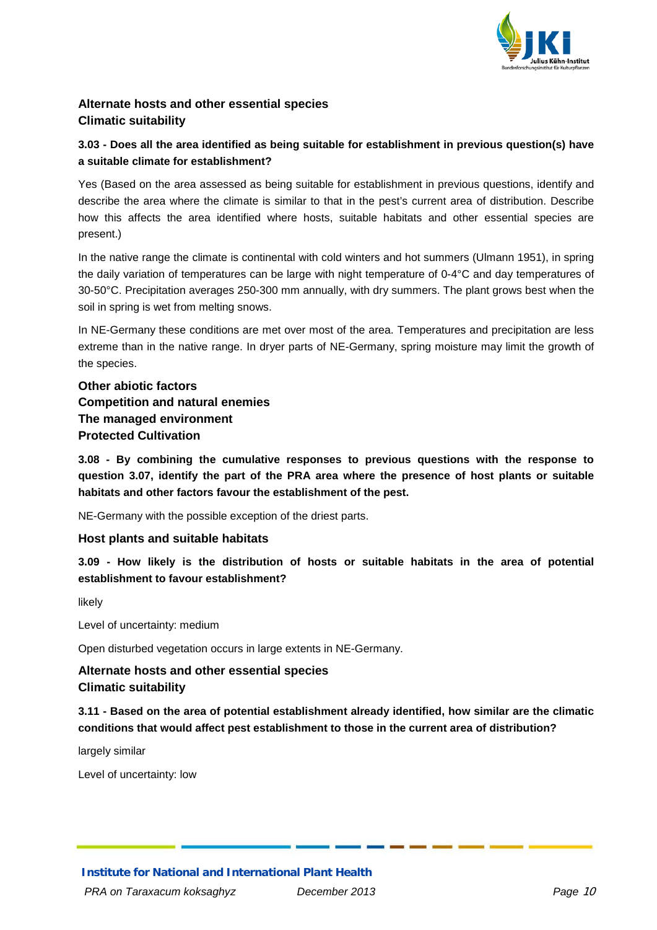

# **Alternate hosts and other essential species Climatic suitability**

# **3.03 - Does all the area identified as being suitable for establishment in previous question(s) have a suitable climate for establishment?**

Yes (Based on the area assessed as being suitable for establishment in previous questions, identify and describe the area where the climate is similar to that in the pest's current area of distribution. Describe how this affects the area identified where hosts, suitable habitats and other essential species are present.)

In the native range the climate is continental with cold winters and hot summers (Ulmann 1951), in spring the daily variation of temperatures can be large with night temperature of 0-4°C and day temperatures of 30-50°C. Precipitation averages 250-300 mm annually, with dry summers. The plant grows best when the soil in spring is wet from melting snows.

In NE-Germany these conditions are met over most of the area. Temperatures and precipitation are less extreme than in the native range. In dryer parts of NE-Germany, spring moisture may limit the growth of the species.

# **Other abiotic factors Competition and natural enemies The managed environment Protected Cultivation**

**3.08 - By combining the cumulative responses to previous questions with the response to question 3.07, identify the part of the PRA area where the presence of host plants or suitable habitats and other factors favour the establishment of the pest.**

NE-Germany with the possible exception of the driest parts.

### **Host plants and suitable habitats**

**3.09 - How likely is the distribution of hosts or suitable habitats in the area of potential establishment to favour establishment?**

likely

Level of uncertainty: medium

Open disturbed vegetation occurs in large extents in NE-Germany.

# **Alternate hosts and other essential species Climatic suitability**

**3.11 - Based on the area of potential establishment already identified, how similar are the climatic conditions that would affect pest establishment to those in the current area of distribution?**

largely similar

Level of uncertainty: low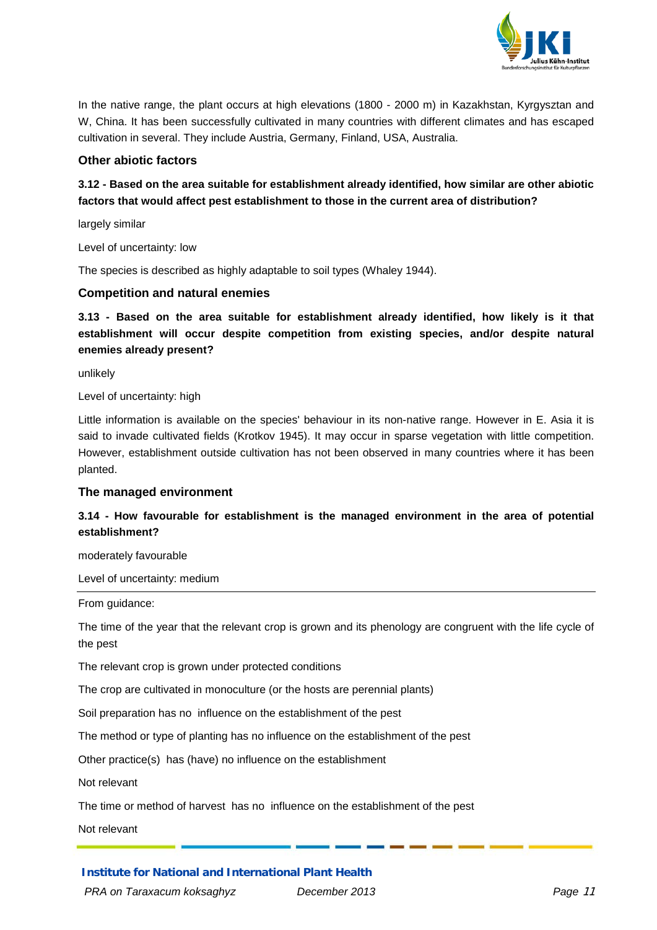

In the native range, the plant occurs at high elevations (1800 - 2000 m) in Kazakhstan, Kyrgysztan and W, China. It has been successfully cultivated in many countries with different climates and has escaped cultivation in several. They include Austria, Germany, Finland, USA, Australia.

#### **Other abiotic factors**

# **3.12 - Based on the area suitable for establishment already identified, how similar are other abiotic factors that would affect pest establishment to those in the current area of distribution?**

largely similar

Level of uncertainty: low

The species is described as highly adaptable to soil types (Whaley 1944).

#### **Competition and natural enemies**

**3.13 - Based on the area suitable for establishment already identified, how likely is it that establishment will occur despite competition from existing species, and/or despite natural enemies already present?**

unlikely

Level of uncertainty: high

Little information is available on the species' behaviour in its non-native range. However in E. Asia it is said to invade cultivated fields (Krotkov 1945). It may occur in sparse vegetation with little competition. However, establishment outside cultivation has not been observed in many countries where it has been planted.

#### **The managed environment**

# **3.14 - How favourable for establishment is the managed environment in the area of potential establishment?**

moderately favourable

Level of uncertainty: medium

From guidance:

The time of the year that the relevant crop is grown and its phenology are congruent with the life cycle of the pest

The relevant crop is grown under protected conditions

The crop are cultivated in monoculture (or the hosts are perennial plants)

Soil preparation has no influence on the establishment of the pest

The method or type of planting has no influence on the establishment of the pest

Other practice(s) has (have) no influence on the establishment

Not relevant

The time or method of harvest has no influence on the establishment of the pest

Not relevant

**Institute for National and International Plant Health**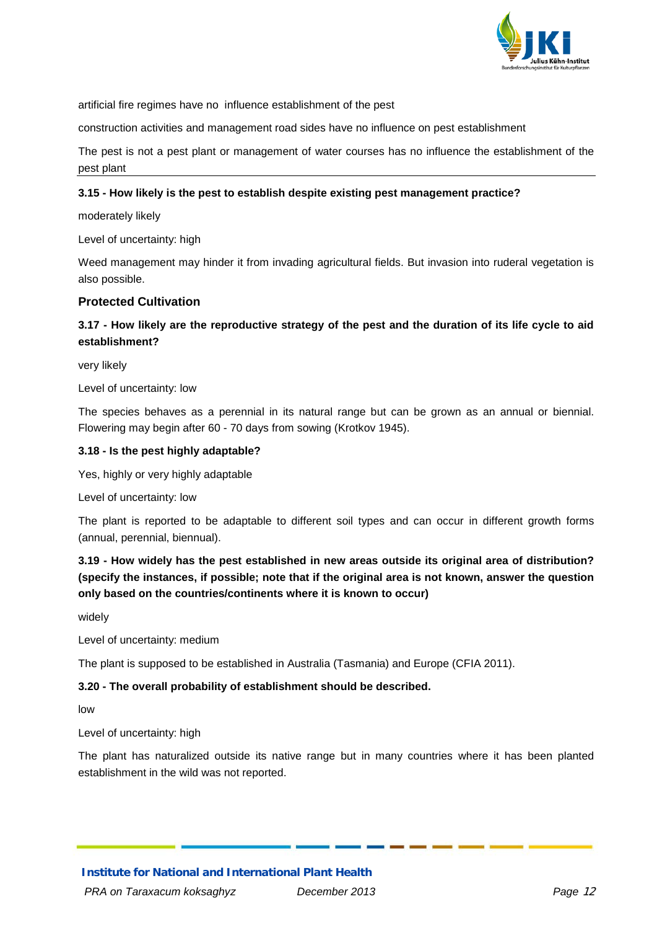

artificial fire regimes have no influence establishment of the pest

construction activities and management road sides have no influence on pest establishment

The pest is not a pest plant or management of water courses has no influence the establishment of the pest plant

#### **3.15 - How likely is the pest to establish despite existing pest management practice?**

moderately likely

Level of uncertainty: high

Weed management may hinder it from invading agricultural fields. But invasion into ruderal vegetation is also possible.

#### **Protected Cultivation**

### **3.17 - How likely are the reproductive strategy of the pest and the duration of its life cycle to aid establishment?**

very likely

Level of uncertainty: low

The species behaves as a perennial in its natural range but can be grown as an annual or biennial. Flowering may begin after 60 - 70 days from sowing (Krotkov 1945).

#### **3.18 - Is the pest highly adaptable?**

Yes, highly or very highly adaptable

Level of uncertainty: low

The plant is reported to be adaptable to different soil types and can occur in different growth forms (annual, perennial, biennual).

**3.19 - How widely has the pest established in new areas outside its original area of distribution? (specify the instances, if possible; note that if the original area is not known, answer the question only based on the countries/continents where it is known to occur)**

widely

Level of uncertainty: medium

The plant is supposed to be established in Australia (Tasmania) and Europe (CFIA 2011).

#### **3.20 - The overall probability of establishment should be described.**

low

Level of uncertainty: high

The plant has naturalized outside its native range but in many countries where it has been planted establishment in the wild was not reported.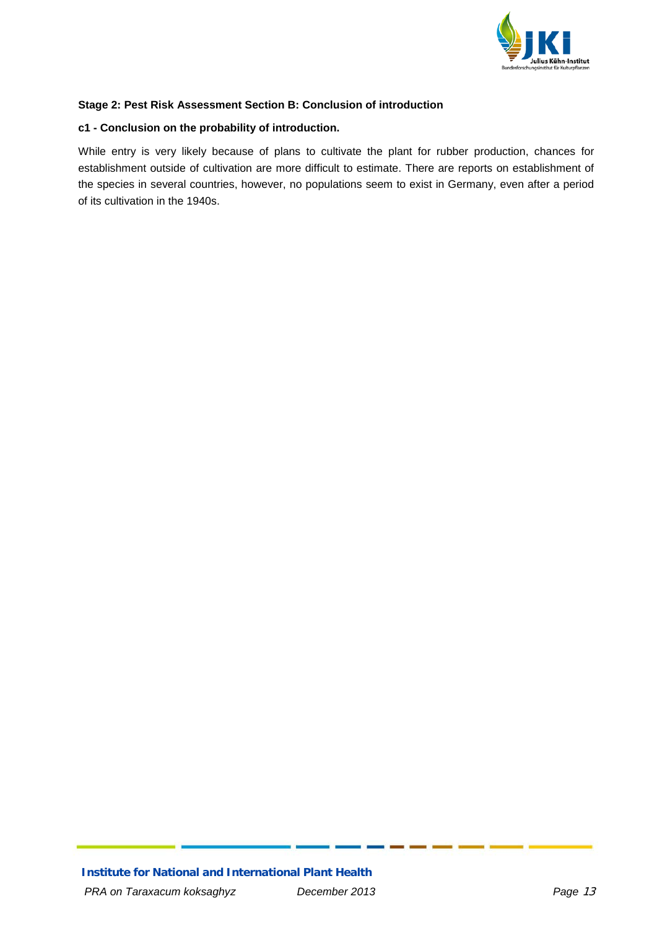

### <span id="page-12-0"></span>**Stage 2: Pest Risk Assessment Section B: Conclusion of introduction**

#### **c1 - Conclusion on the probability of introduction.**

While entry is very likely because of plans to cultivate the plant for rubber production, chances for establishment outside of cultivation are more difficult to estimate. There are reports on establishment of the species in several countries, however, no populations seem to exist in Germany, even after a period of its cultivation in the 1940s.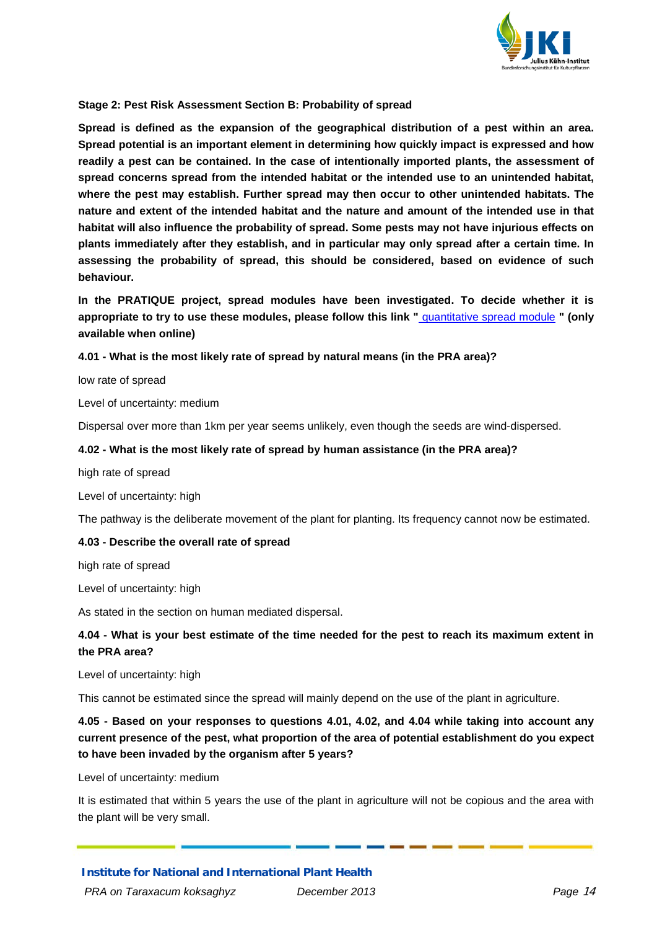

#### <span id="page-13-0"></span>**Stage 2: Pest Risk Assessment Section B: Probability of spread**

**Spread is defined as the expansion of the geographical distribution of a pest within an area. Spread potential is an important element in determining how quickly impact is expressed and how readily a pest can be contained. In the case of intentionally imported plants, the assessment of spread concerns spread from the intended habitat or the intended use to an unintended habitat, where the pest may establish. Further spread may then occur to other unintended habitats. The nature and extent of the intended habitat and the nature and amount of the intended use in that habitat will also influence the probability of spread. Some pests may not have injurious effects on plants immediately after they establish, and in particular may only spread after a certain time. In assessing the probability of spread, this should be considered, based on evidence of such behaviour.**

**In the PRATIQUE project, spread modules have been investigated. To decide whether it is appropriate to try to use these modules, please follow this link "** quantitative spread module **" (only available when online)**

#### **4.01 - What is the most likely rate of spread by natural means (in the PRA area)?**

low rate of spread

Level of uncertainty: medium

Dispersal over more than 1km per year seems unlikely, even though the seeds are wind-dispersed.

#### **4.02 - What is the most likely rate of spread by human assistance (in the PRA area)?**

high rate of spread

Level of uncertainty: high

The pathway is the deliberate movement of the plant for planting. Its frequency cannot now be estimated.

#### **4.03 - Describe the overall rate of spread**

high rate of spread

Level of uncertainty: high

As stated in the section on human mediated dispersal.

### **4.04 - What is your best estimate of the time needed for the pest to reach its maximum extent in the PRA area?**

Level of uncertainty: high

This cannot be estimated since the spread will mainly depend on the use of the plant in agriculture.

**4.05 - Based on your responses to questions 4.01, 4.02, and 4.04 while taking into account any current presence of the pest, what proportion of the area of potential establishment do you expect to have been invaded by the organism after 5 years?**

Level of uncertainty: medium

It is estimated that within 5 years the use of the plant in agriculture will not be copious and the area with the plant will be very small.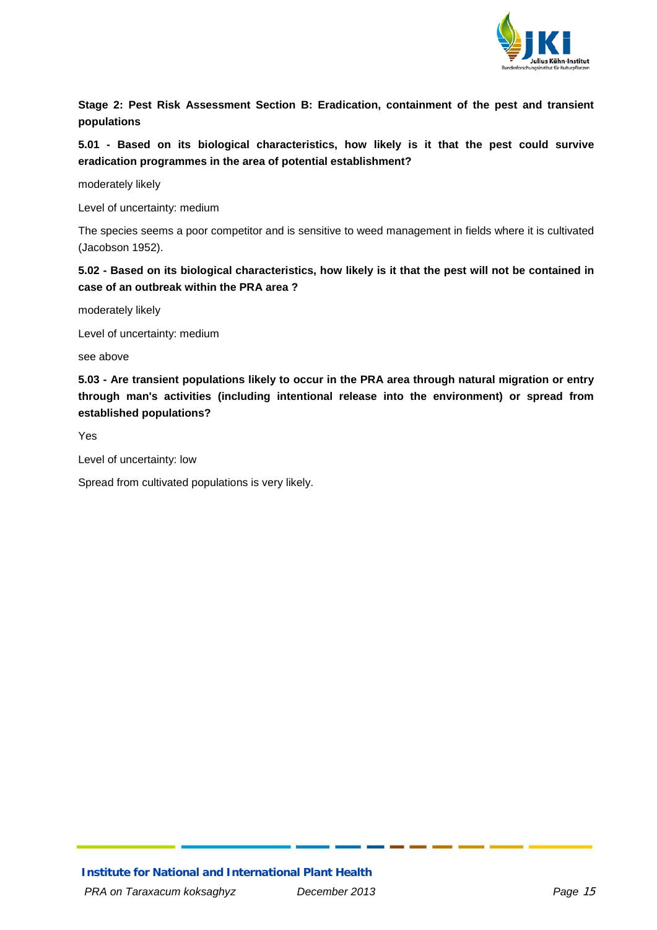

<span id="page-14-0"></span>**Stage 2: Pest Risk Assessment Section B: Eradication, containment of the pest and transient populations**

**5.01 - Based on its biological characteristics, how likely is it that the pest could survive eradication programmes in the area of potential establishment?**

moderately likely

Level of uncertainty: medium

The species seems a poor competitor and is sensitive to weed management in fields where it is cultivated (Jacobson 1952).

**5.02 - Based on its biological characteristics, how likely is it that the pest will not be contained in case of an outbreak within the PRA area ?**

moderately likely

Level of uncertainty: medium

see above

**5.03 - Are transient populations likely to occur in the PRA area through natural migration or entry through man's activities (including intentional release into the environment) or spread from established populations?** 

Yes

Level of uncertainty: low

Spread from cultivated populations is very likely.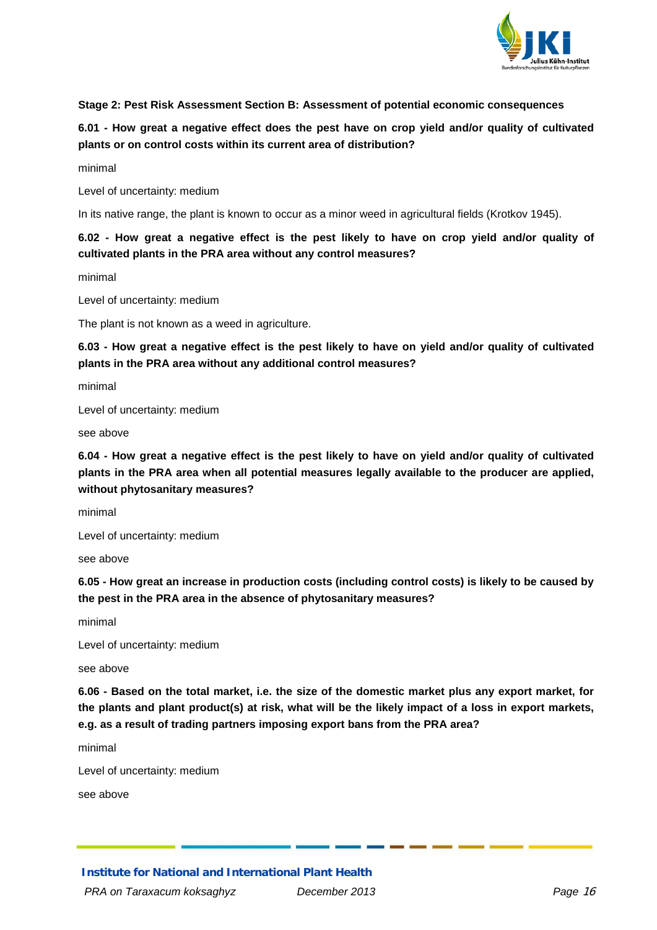

#### <span id="page-15-0"></span>**Stage 2: Pest Risk Assessment Section B: Assessment of potential economic consequences**

# **6.01 - How great a negative effect does the pest have on crop yield and/or quality of cultivated plants or on control costs within its current area of distribution?**

minimal

Level of uncertainty: medium

In its native range, the plant is known to occur as a minor weed in agricultural fields (Krotkov 1945).

# **6.02 - How great a negative effect is the pest likely to have on crop yield and/or quality of cultivated plants in the PRA area without any control measures?**

minimal

Level of uncertainty: medium

The plant is not known as a weed in agriculture.

**6.03 - How great a negative effect is the pest likely to have on yield and/or quality of cultivated plants in the PRA area without any additional control measures?**

minimal

Level of uncertainty: medium

see above

**6.04 - How great a negative effect is the pest likely to have on yield and/or quality of cultivated plants in the PRA area when all potential measures legally available to the producer are applied, without phytosanitary measures?**

minimal

Level of uncertainty: medium

see above

**6.05 - How great an increase in production costs (including control costs) is likely to be caused by the pest in the PRA area in the absence of phytosanitary measures?**

minimal

Level of uncertainty: medium

see above

**6.06 - Based on the total market, i.e. the size of the domestic market plus any export market, for the plants and plant product(s) at risk, what will be the likely impact of a loss in export markets, e.g. as a result of trading partners imposing export bans from the PRA area?**

minimal

Level of uncertainty: medium

see above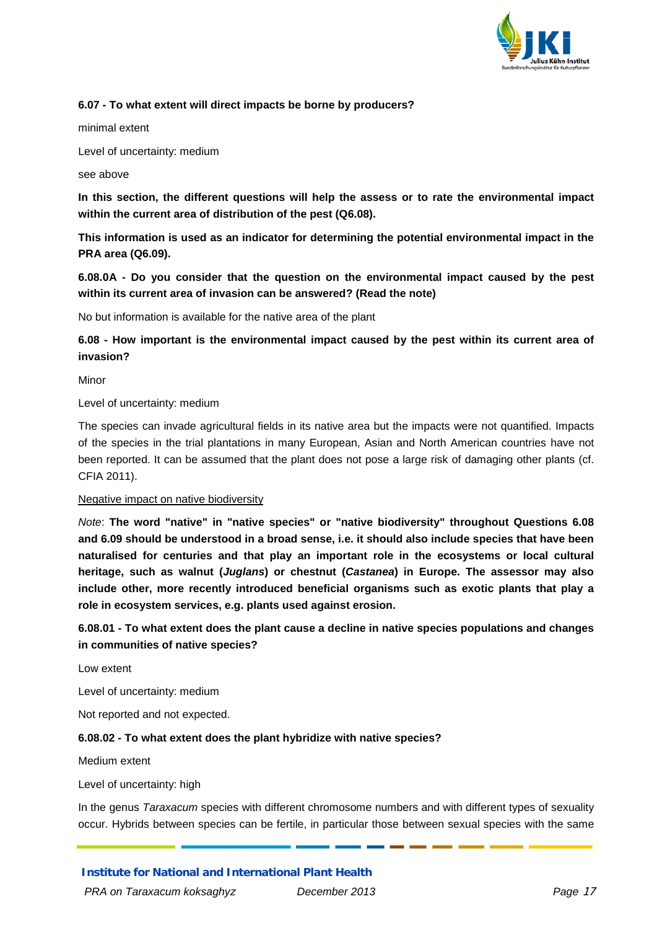

#### **6.07 - To what extent will direct impacts be borne by producers?**

minimal extent

Level of uncertainty: medium

see above

**In this section, the different questions will help the assess or to rate the environmental impact within the current area of distribution of the pest (Q6.08).**

**This information is used as an indicator for determining the potential environmental impact in the PRA area (Q6.09).**

**6.08.0A - Do you consider that the question on the environmental impact caused by the pest within its current area of invasion can be answered? (Read the note)**

No but information is available for the native area of the plant

# **6.08 - How important is the environmental impact caused by the pest within its current area of invasion?**

Minor

Level of uncertainty: medium

The species can invade agricultural fields in its native area but the impacts were not quantified. Impacts of the species in the trial plantations in many European, Asian and North American countries have not been reported. It can be assumed that the plant does not pose a large risk of damaging other plants (cf. CFIA 2011).

#### Negative impact on native biodiversity

*Note*: **The word "native" in "native species" or "native biodiversity" throughout Questions 6.08 and 6.09 should be understood in a broad sense, i.e. it should also include species that have been naturalised for centuries and that play an important role in the ecosystems or local cultural heritage, such as walnut (***Juglans***) or chestnut (***Castanea***) in Europe. The assessor may also include other, more recently introduced beneficial organisms such as exotic plants that play a role in ecosystem services, e.g. plants used against erosion.**

# **6.08.01 - To what extent does the plant cause a decline in native species populations and changes in communities of native species?**

Low extent

Level of uncertainty: medium

Not reported and not expected.

#### **6.08.02 - To what extent does the plant hybridize with native species?**

Medium extent

Level of uncertainty: high

In the genus *Taraxacum* species with different chromosome numbers and with different types of sexuality occur. Hybrids between species can be fertile, in particular those between sexual species with the same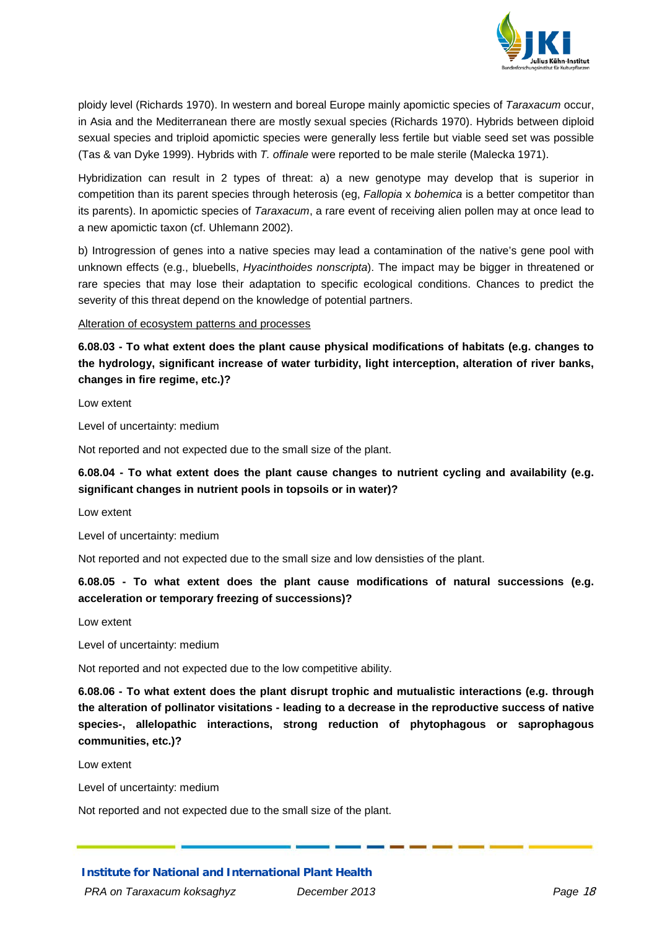

ploidy level (Richards 1970). In western and boreal Europe mainly apomictic species of *Taraxacum* occur, in Asia and the Mediterranean there are mostly sexual species (Richards 1970). Hybrids between diploid sexual species and triploid apomictic species were generally less fertile but viable seed set was possible (Tas & van Dyke 1999). Hybrids with *T. offinale* were reported to be male sterile (Malecka 1971).

Hybridization can result in 2 types of threat: a) a new genotype may develop that is superior in competition than its parent species through heterosis (eg, *Fallopia* x *bohemica* is a better competitor than its parents). In apomictic species of *Taraxacum*, a rare event of receiving alien pollen may at once lead to a new apomictic taxon (cf. Uhlemann 2002).

b) Introgression of genes into a native species may lead a contamination of the native's gene pool with unknown effects (e.g., bluebells, *Hyacinthoides nonscripta*). The impact may be bigger in threatened or rare species that may lose their adaptation to specific ecological conditions. Chances to predict the severity of this threat depend on the knowledge of potential partners.

Alteration of ecosystem patterns and processes

**6.08.03 - To what extent does the plant cause physical modifications of habitats (e.g. changes to the hydrology, significant increase of water turbidity, light interception, alteration of river banks, changes in fire regime, etc.)?**

Low extent

Level of uncertainty: medium

Not reported and not expected due to the small size of the plant.

**6.08.04 - To what extent does the plant cause changes to nutrient cycling and availability (e.g. significant changes in nutrient pools in topsoils or in water)?**

Low extent

Level of uncertainty: medium

Not reported and not expected due to the small size and low densisties of the plant.

**6.08.05 - To what extent does the plant cause modifications of natural successions (e.g. acceleration or temporary freezing of successions)?**

Low extent

Level of uncertainty: medium

Not reported and not expected due to the low competitive ability.

**6.08.06 - To what extent does the plant disrupt trophic and mutualistic interactions (e.g. through the alteration of pollinator visitations - leading to a decrease in the reproductive success of native species-, allelopathic interactions, strong reduction of phytophagous or saprophagous communities, etc.)?**

Low extent

Level of uncertainty: medium

Not reported and not expected due to the small size of the plant.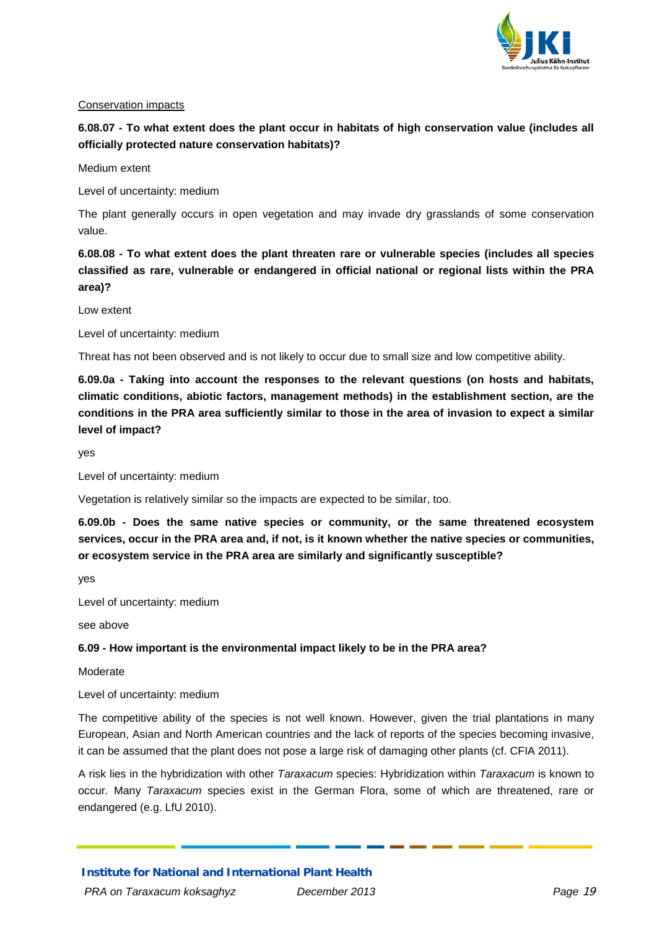

#### Conservation impacts

# **6.08.07 - To what extent does the plant occur in habitats of high conservation value (includes all officially protected nature conservation habitats)?**

Medium extent

Level of uncertainty: medium

The plant generally occurs in open vegetation and may invade dry grasslands of some conservation value.

**6.08.08 - To what extent does the plant threaten rare or vulnerable species (includes all species classified as rare, vulnerable or endangered in official national or regional lists within the PRA area)?**

Low extent

Level of uncertainty: medium

Threat has not been observed and is not likely to occur due to small size and low competitive ability.

**6.09.0a - Taking into account the responses to the relevant questions (on hosts and habitats, climatic conditions, abiotic factors, management methods) in the establishment section, are the conditions in the PRA area sufficiently similar to those in the area of invasion to expect a similar level of impact?**

yes

Level of uncertainty: medium

Vegetation is relatively similar so the impacts are expected to be similar, too.

**6.09.0b - Does the same native species or community, or the same threatened ecosystem services, occur in the PRA area and, if not, is it known whether the native species or communities, or ecosystem service in the PRA area are similarly and significantly susceptible?**

yes

Level of uncertainty: medium

see above

**6.09 - How important is the environmental impact likely to be in the PRA area?** 

Moderate

Level of uncertainty: medium

The competitive ability of the species is not well known. However, given the trial plantations in many European, Asian and North American countries and the lack of reports of the species becoming invasive, it can be assumed that the plant does not pose a large risk of damaging other plants (cf. CFIA 2011).

A risk lies in the hybridization with other *Taraxacum* species: Hybridization within *Taraxacum* is known to occur. Many *Taraxacum* species exist in the German Flora, some of which are threatened, rare or endangered (e.g. LfU 2010).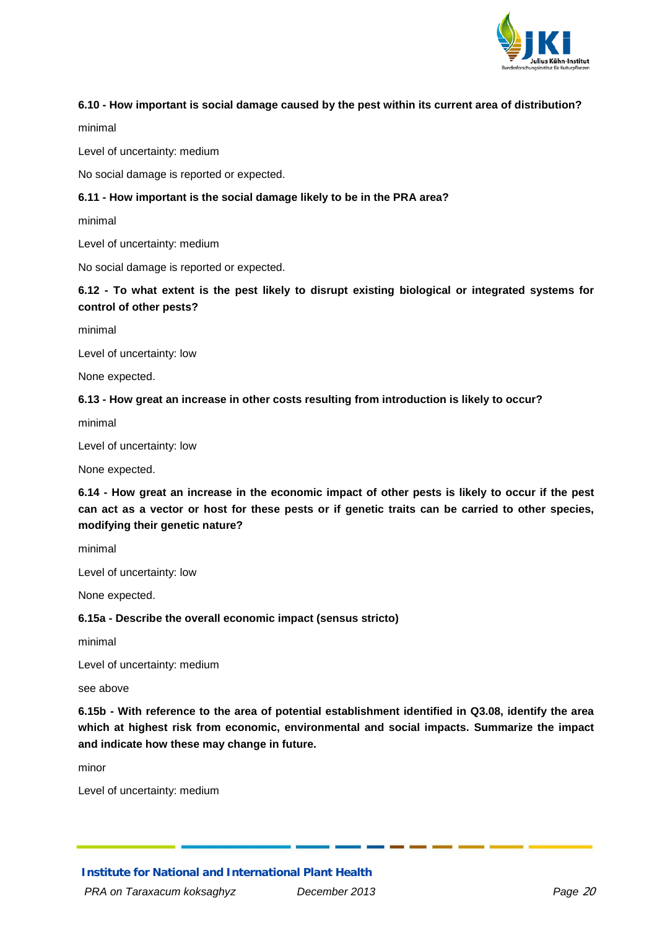

#### **6.10 - How important is social damage caused by the pest within its current area of distribution?**

minimal

Level of uncertainty: medium

No social damage is reported or expected.

#### **6.11 - How important is the social damage likely to be in the PRA area?**

minimal

Level of uncertainty: medium

No social damage is reported or expected.

## **6.12 - To what extent is the pest likely to disrupt existing biological or integrated systems for control of other pests?**

minimal

Level of uncertainty: low

None expected.

#### **6.13 - How great an increase in other costs resulting from introduction is likely to occur?**

minimal

Level of uncertainty: low

None expected.

**6.14 - How great an increase in the economic impact of other pests is likely to occur if the pest can act as a vector or host for these pests or if genetic traits can be carried to other species, modifying their genetic nature?**

minimal

Level of uncertainty: low

None expected.

#### **6.15a - Describe the overall economic impact (sensus stricto)**

minimal

Level of uncertainty: medium

see above

**6.15b - With reference to the area of potential establishment identified in Q3.08, identify the area which at highest risk from economic, environmental and social impacts. Summarize the impact and indicate how these may change in future.**

minor

Level of uncertainty: medium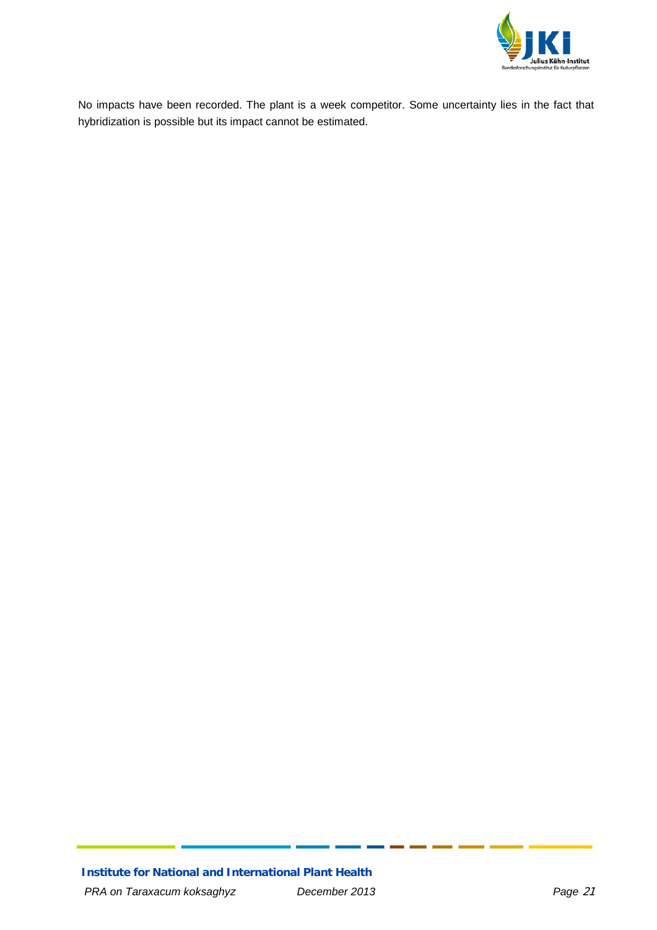

No impacts have been recorded. The plant is a week competitor. Some uncertainty lies in the fact that hybridization is possible but its impact cannot be estimated.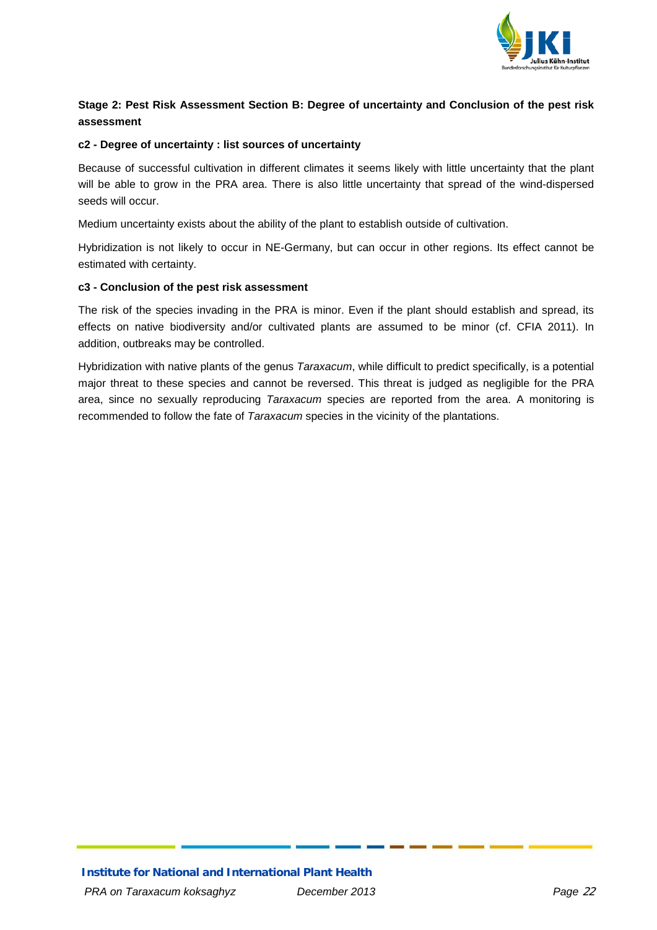

### <span id="page-21-0"></span>**Stage 2: Pest Risk Assessment Section B: Degree of uncertainty and Conclusion of the pest risk assessment**

#### **c2 - Degree of uncertainty : list sources of uncertainty**

Because of successful cultivation in different climates it seems likely with little uncertainty that the plant will be able to grow in the PRA area. There is also little uncertainty that spread of the wind-dispersed seeds will occur.

Medium uncertainty exists about the ability of the plant to establish outside of cultivation.

Hybridization is not likely to occur in NE-Germany, but can occur in other regions. Its effect cannot be estimated with certainty.

#### **c3 - Conclusion of the pest risk assessment**

The risk of the species invading in the PRA is minor. Even if the plant should establish and spread, its effects on native biodiversity and/or cultivated plants are assumed to be minor (cf. CFIA 2011). In addition, outbreaks may be controlled.

Hybridization with native plants of the genus *Taraxacum*, while difficult to predict specifically, is a potential major threat to these species and cannot be reversed. This threat is judged as negligible for the PRA area, since no sexually reproducing *Taraxacum* species are reported from the area. A monitoring is recommended to follow the fate of *Taraxacum* species in the vicinity of the plantations.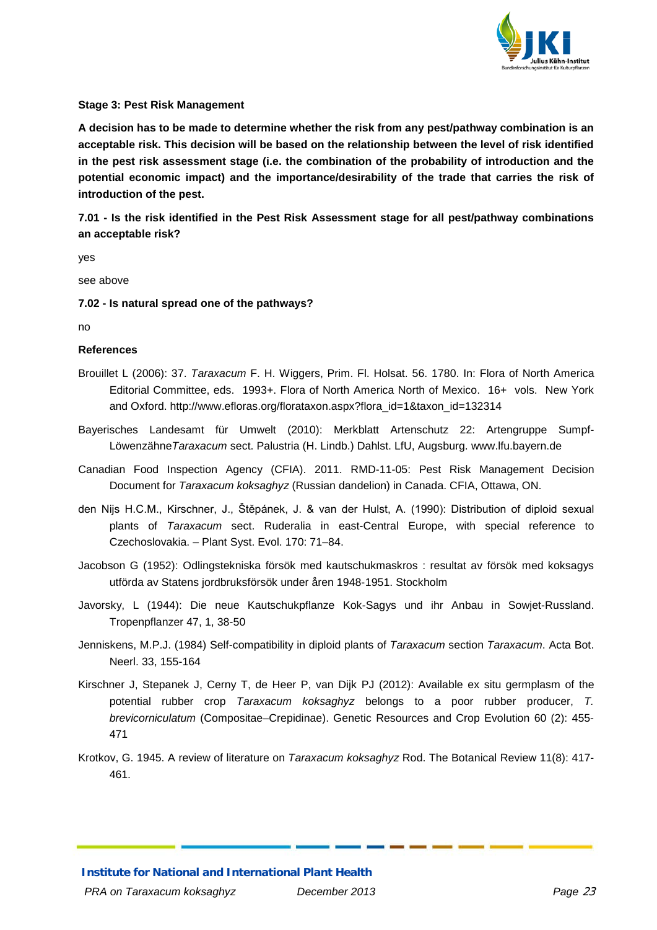

#### <span id="page-22-0"></span>**Stage 3: Pest Risk Management**

**A decision has to be made to determine whether the risk from any pest/pathway combination is an acceptable risk. This decision will be based on the relationship between the level of risk identified in the pest risk assessment stage (i.e. the combination of the probability of introduction and the potential economic impact) and the importance/desirability of the trade that carries the risk of introduction of the pest.** 

**7.01 - Is the risk identified in the Pest Risk Assessment stage for all pest/pathway combinations an acceptable risk?**

yes

see above

**7.02 - Is natural spread one of the pathways?**

no

#### **References**

- Brouillet L (2006): 37. *Taraxacum* F. H. Wiggers, Prim. Fl. Holsat. 56. 1780. In: Flora of North America Editorial Committee, eds. 1993+. Flora of North America North of Mexico. 16+ vols. New York and Oxford. http://www.efloras.org/florataxon.aspx?flora\_id=1&taxon\_id=132314
- Bayerisches Landesamt für Umwelt (2010): Merkblatt Artenschutz 22: Artengruppe Sumpf-Löwenzähne*Taraxacum* sect. Palustria (H. Lindb.) Dahlst. LfU, Augsburg. www.lfu.bayern.de
- Canadian Food Inspection Agency (CFIA). 2011. RMD-11-05: Pest Risk Management Decision Document for *Taraxacum koksaghyz* (Russian dandelion) in Canada. CFIA, Ottawa, ON.
- den Nijs H.C.M., Kirschner, J., Štĕpánek, J. & van der Hulst, A. (1990): Distribution of diploid sexual plants of *Taraxacum* sect. Ruderalia in east-Central Europe, with special reference to Czechoslovakia. – Plant Syst. Evol. 170: 71–84.
- Jacobson G (1952): Odlingstekniska försök med kautschukmaskros : resultat av försök med koksagys utförda av Statens jordbruksförsök under åren 1948-1951. Stockholm
- Javorsky, L (1944): Die neue Kautschukpflanze Kok-Sagys und ihr Anbau in Sowjet-Russland. Tropenpflanzer 47, 1, 38-50
- Jenniskens, M.P.J. (1984) Self-compatibility in diploid plants of *Taraxacum* section *Taraxacum*. Acta Bot. Neerl. 33, 155-164
- Kirschner J, Stepanek J, Cerny T, de Heer P, van Dijk PJ (2012): Available ex situ germplasm of the potential rubber crop *Taraxacum koksaghyz* belongs to a poor rubber producer, *T. brevicorniculatum* (Compositae–Crepidinae). Genetic Resources and Crop Evolution 60 (2): 455- 471
- Krotkov, G. 1945. A review of literature on *Taraxacum koksaghyz* Rod. The Botanical Review 11(8): 417- 461.